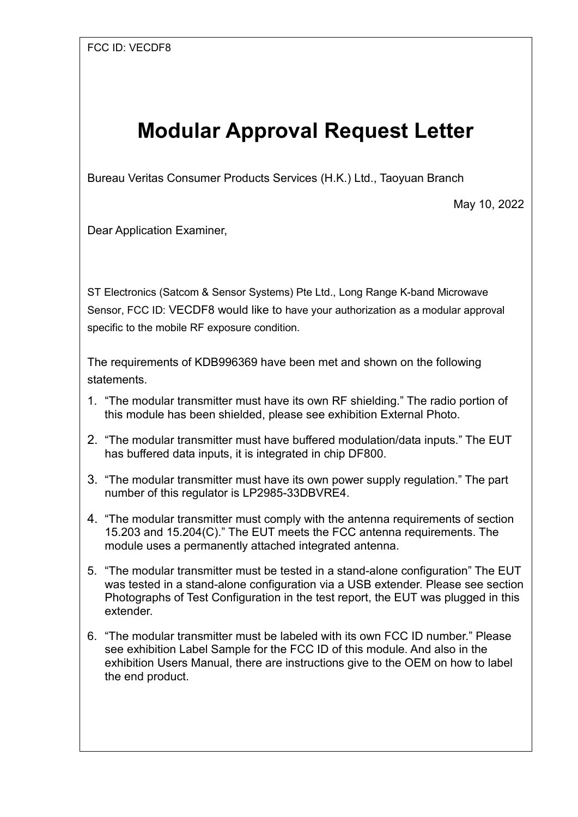## **Modular Approval Request Letter**

Bureau Veritas Consumer Products Services (H.K.) Ltd., Taoyuan Branch

May 10, 2022

Dear Application Examiner,

ST Electronics (Satcom & Sensor Systems) Pte Ltd., Long Range K-band Microwave Sensor, FCC ID: VECDF8 would like to have your authorization as a modular approval specific to the mobile RF exposure condition.

The requirements of KDB996369 have been met and shown on the following statements.

- 1. "The modular transmitter must have its own RF shielding." The radio portion of this module has been shielded, please see exhibition External Photo.
- 2. "The modular transmitter must have buffered modulation/data inputs." The EUT has buffered data inputs, it is integrated in chip DF800.
- 3. "The modular transmitter must have its own power supply regulation." The part number of this regulator is LP2985-33DBVRE4.
- 4. "The modular transmitter must comply with the antenna requirements of section 15.203 and 15.204(C)." The EUT meets the FCC antenna requirements. The module uses a permanently attached integrated antenna.
- 5. "The modular transmitter must be tested in a stand-alone configuration" The EUT was tested in a stand-alone configuration via a USB extender. Please see section Photographs of Test Configuration in the test report, the EUT was plugged in this extender.
- 6. "The modular transmitter must be labeled with its own FCC ID number." Please see exhibition Label Sample for the FCC ID of this module. And also in the exhibition Users Manual, there are instructions give to the OEM on how to label the end product.